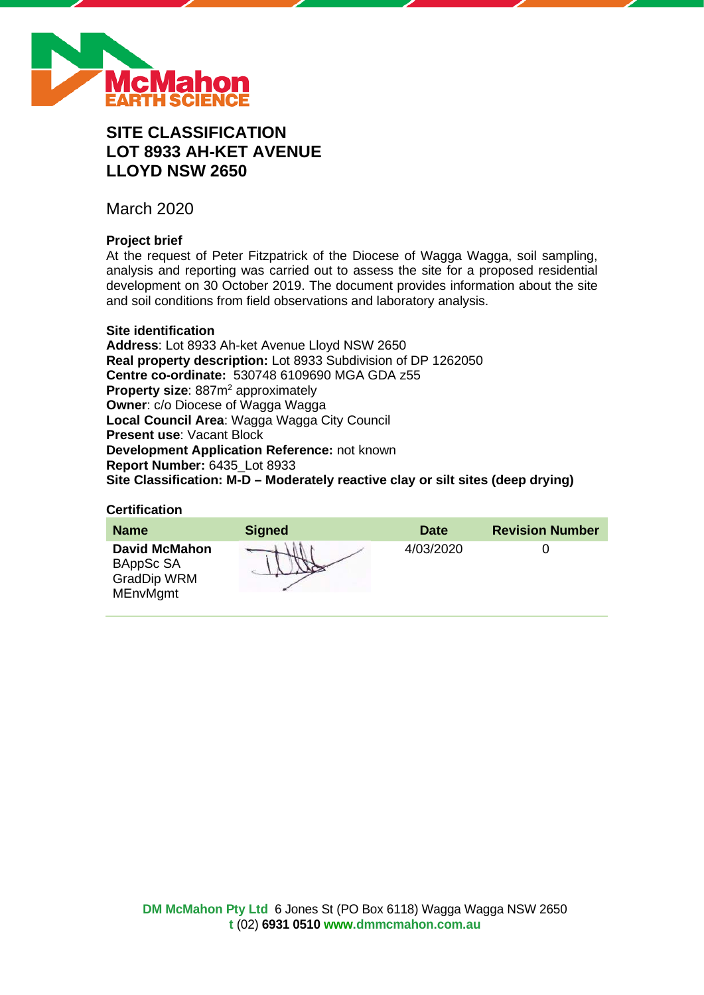

# **SITE CLASSIFICATION LOT 8933 AH-KET AVENUE LLOYD NSW 2650**

March 2020

# **Project brief**

At the request of Peter Fitzpatrick of the Diocese of Wagga Wagga, soil sampling, analysis and reporting was carried out to assess the site for a proposed residential development on 30 October 2019. The document provides information about the site and soil conditions from field observations and laboratory analysis.

### **Site identification**

**Address**: Lot 8933 Ah-ket Avenue Lloyd NSW 2650 **Real property description:** Lot 8933 Subdivision of DP 1262050 **Centre co-ordinate:** 530748 6109690 MGA GDA z55 **Property size:** 887m<sup>2</sup> approximately **Owner**: c/o Diocese of Wagga Wagga **Local Council Area**: Wagga Wagga City Council **Present use**: Vacant Block **Development Application Reference:** not known **Report Number:** 6435\_Lot 8933 **Site Classification: M-D – Moderately reactive clay or silt sites (deep drying)**

### **Certification**

| <b>Name</b>                                                                | <b>Signed</b> | <b>Date</b> | <b>Revision Number</b> |
|----------------------------------------------------------------------------|---------------|-------------|------------------------|
| <b>David McMahon</b><br>BAppSc SA<br><b>GradDip WRM</b><br><b>MEnvMgmt</b> |               | 4/03/2020   |                        |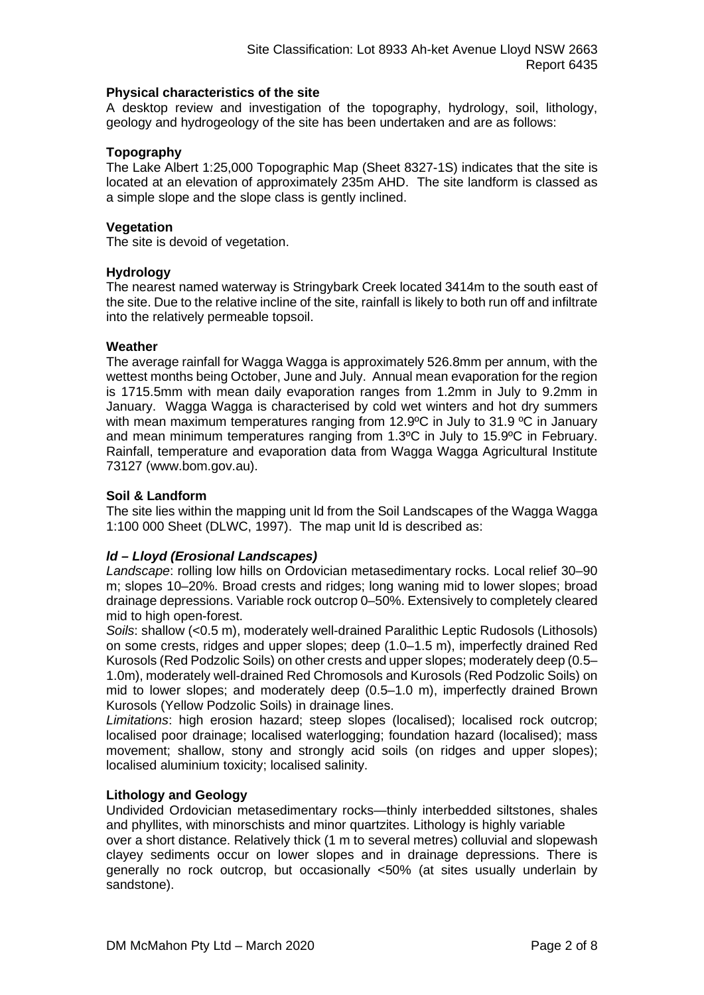### **Physical characteristics of the site**

A desktop review and investigation of the topography, hydrology, soil, lithology, geology and hydrogeology of the site has been undertaken and are as follows:

# **Topography**

The Lake Albert 1:25,000 Topographic Map (Sheet 8327-1S) indicates that the site is located at an elevation of approximately 235m AHD. The site landform is classed as a simple slope and the slope class is gently inclined.

### **Vegetation**

The site is devoid of vegetation.

### **Hydrology**

The nearest named waterway is Stringybark Creek located 3414m to the south east of the site. Due to the relative incline of the site, rainfall is likely to both run off and infiltrate into the relatively permeable topsoil.

### **Weather**

The average rainfall for Wagga Wagga is approximately 526.8mm per annum, with the wettest months being October, June and July. Annual mean evaporation for the region is 1715.5mm with mean daily evaporation ranges from 1.2mm in July to 9.2mm in January. Wagga Wagga is characterised by cold wet winters and hot dry summers with mean maximum temperatures ranging from 12.9°C in July to 31.9 °C in January and mean minimum temperatures ranging from 1.3ºC in July to 15.9ºC in February. Rainfall, temperature and evaporation data from Wagga Wagga Agricultural Institute 73127 (www.bom.gov.au).

### **Soil & Landform**

The site lies within the mapping unit ld from the Soil Landscapes of the Wagga Wagga 1:100 000 Sheet (DLWC, 1997). The map unit ld is described as:

# *ld – Lloyd (Erosional Landscapes)*

*Landscape*: rolling low hills on Ordovician metasedimentary rocks. Local relief 30–90 m; slopes 10–20%. Broad crests and ridges; long waning mid to lower slopes; broad drainage depressions. Variable rock outcrop 0–50%. Extensively to completely cleared mid to high open-forest.

*Soils*: shallow (<0.5 m), moderately well-drained Paralithic Leptic Rudosols (Lithosols) on some crests, ridges and upper slopes; deep (1.0–1.5 m), imperfectly drained Red Kurosols (Red Podzolic Soils) on other crests and upper slopes; moderately deep (0.5– 1.0m), moderately well-drained Red Chromosols and Kurosols (Red Podzolic Soils) on mid to lower slopes; and moderately deep (0.5–1.0 m), imperfectly drained Brown Kurosols (Yellow Podzolic Soils) in drainage lines.

*Limitations*: high erosion hazard; steep slopes (localised); localised rock outcrop; localised poor drainage; localised waterlogging; foundation hazard (localised); mass movement; shallow, stony and strongly acid soils (on ridges and upper slopes); localised aluminium toxicity; localised salinity.

# **Lithology and Geology**

Undivided Ordovician metasedimentary rocks—thinly interbedded siltstones, shales and phyllites, with minorschists and minor quartzites. Lithology is highly variable

over a short distance. Relatively thick (1 m to several metres) colluvial and slopewash clayey sediments occur on lower slopes and in drainage depressions. There is generally no rock outcrop, but occasionally <50% (at sites usually underlain by sandstone).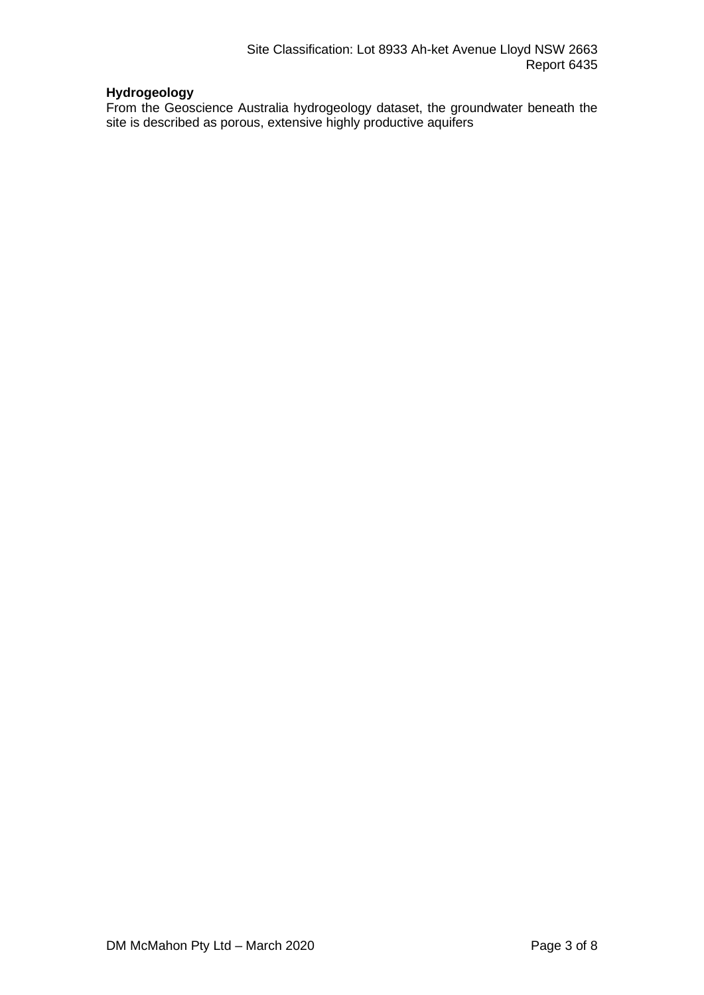# **Hydrogeology**

From the Geoscience Australia hydrogeology dataset, the groundwater beneath the site is described as porous, extensive highly productive aquifers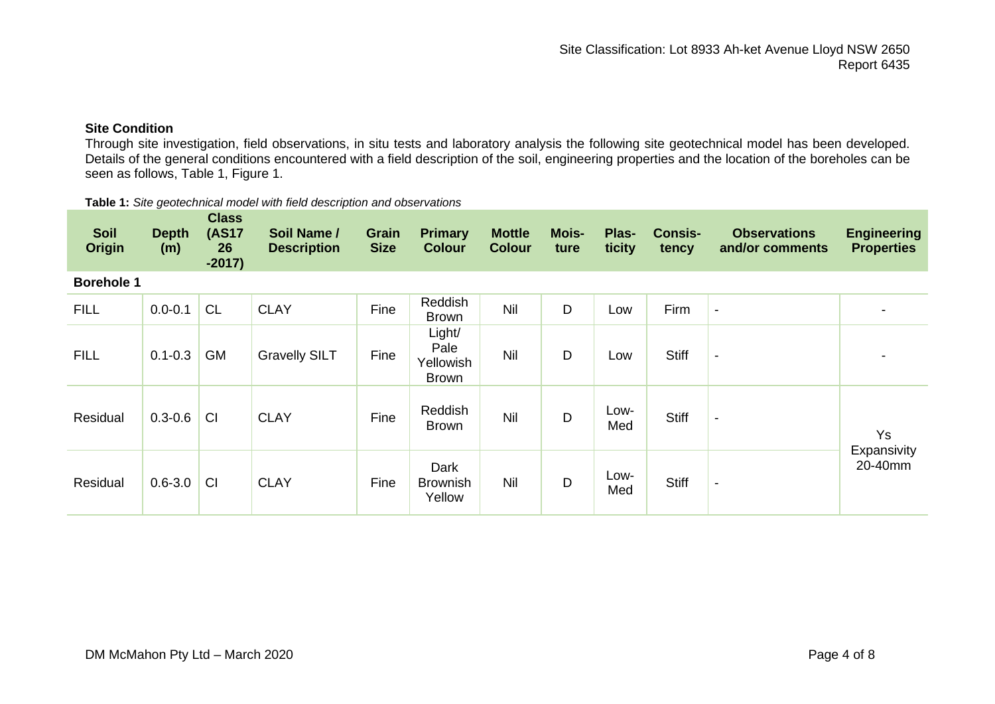# **Site Condition**

Through site investigation, field observations, in situ tests and laboratory analysis the following site geotechnical model has been developed. Details of the general conditions encountered with a field description of the soil, engineering properties and the location of the boreholes can be seen as follows, Table 1, Figure 1.

#### **Table 1:** *Site geotechnical model with field description and observations*

| <b>Soil</b><br><b>Origin</b> | <b>Depth</b><br>(m) | <b>Class</b><br><b>(AS17</b><br>26<br>$-2017$ | Soil Name /<br><b>Description</b> | <b>Grain</b><br><b>Size</b> | <b>Primary</b><br><b>Colour</b>             | <b>Mottle</b><br><b>Colour</b> | Mois-<br>ture | Plas-<br>ticity | <b>Consis-</b><br>tency | <b>Observations</b><br>and/or comments | <b>Engineering</b><br><b>Properties</b> |
|------------------------------|---------------------|-----------------------------------------------|-----------------------------------|-----------------------------|---------------------------------------------|--------------------------------|---------------|-----------------|-------------------------|----------------------------------------|-----------------------------------------|
| <b>Borehole 1</b>            |                     |                                               |                                   |                             |                                             |                                |               |                 |                         |                                        |                                         |
| <b>FILL</b>                  | $0.0 - 0.1$         | <b>CL</b>                                     | <b>CLAY</b>                       | Fine                        | Reddish<br><b>Brown</b>                     | Nil                            | D             | Low             | Firm                    | $\overline{\phantom{a}}$               |                                         |
| <b>FILL</b>                  | $0.1 - 0.3$         | <b>GM</b>                                     | <b>Gravelly SILT</b>              | Fine                        | Light/<br>Pale<br>Yellowish<br><b>Brown</b> | Nil                            | D             | Low             | <b>Stiff</b>            | $\blacksquare$                         |                                         |
| Residual                     | $0.3 - 0.6$         | CI                                            | <b>CLAY</b>                       | Fine                        | Reddish<br><b>Brown</b>                     | Nil                            | D             | Low-<br>Med     | <b>Stiff</b>            | $\overline{\phantom{a}}$               | <b>Ys</b>                               |
| Residual                     | $0.6 - 3.0$         | <b>CI</b>                                     | <b>CLAY</b>                       | Fine                        | Dark<br><b>Brownish</b><br>Yellow           | Nil                            | D             | Low-<br>Med     | <b>Stiff</b>            | $\blacksquare$                         | Expansivity<br>20-40mm                  |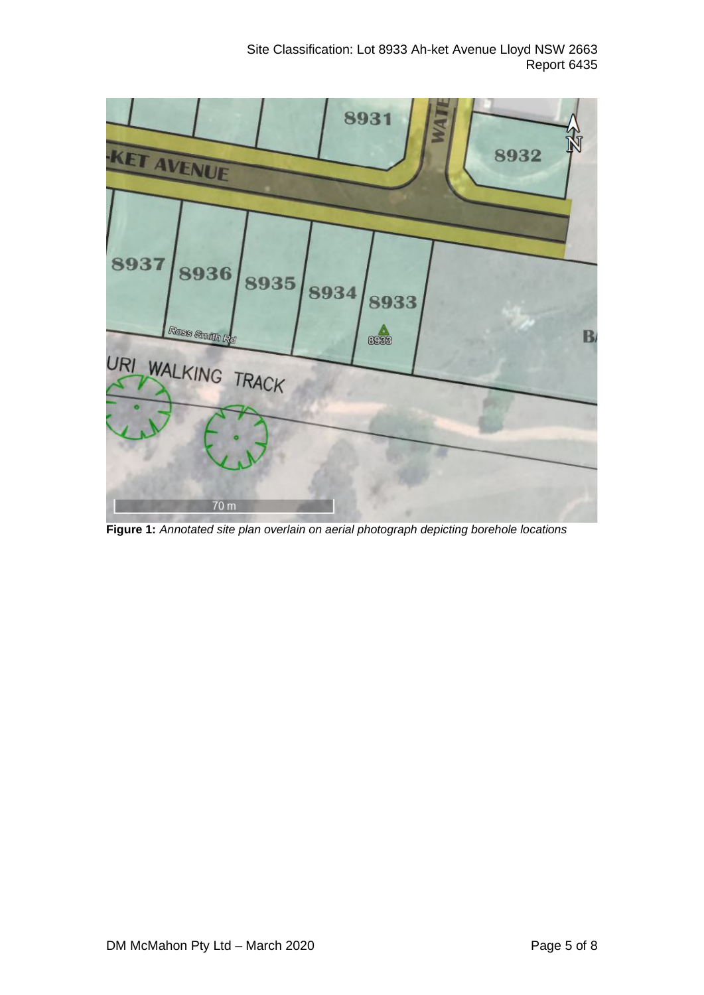

**Figure 1:** *Annotated site plan overlain on aerial photograph depicting borehole locations*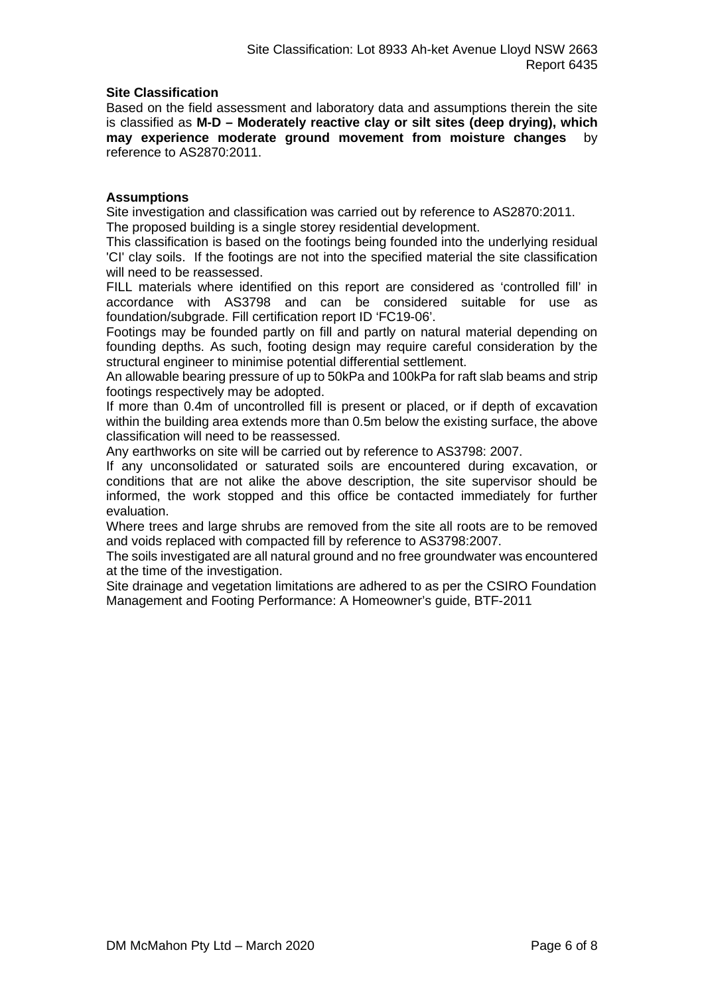### **Site Classification**

Based on the field assessment and laboratory data and assumptions therein the site is classified as **M-D – Moderately reactive clay or silt sites (deep drying), which may experience moderate ground movement from moisture changes** by reference to AS2870:2011.

### **Assumptions**

Site investigation and classification was carried out by reference to AS2870:2011. The proposed building is a single storey residential development.

This classification is based on the footings being founded into the underlying residual 'CI' clay soils. If the footings are not into the specified material the site classification will need to be reassessed.

FILL materials where identified on this report are considered as 'controlled fill' in accordance with AS3798 and can be considered suitable for use as foundation/subgrade. Fill certification report ID 'FC19-06'.

Footings may be founded partly on fill and partly on natural material depending on founding depths. As such, footing design may require careful consideration by the structural engineer to minimise potential differential settlement.

An allowable bearing pressure of up to 50kPa and 100kPa for raft slab beams and strip footings respectively may be adopted.

If more than 0.4m of uncontrolled fill is present or placed, or if depth of excavation within the building area extends more than 0.5m below the existing surface, the above classification will need to be reassessed.

Any earthworks on site will be carried out by reference to AS3798: 2007.

If any unconsolidated or saturated soils are encountered during excavation, or conditions that are not alike the above description, the site supervisor should be informed, the work stopped and this office be contacted immediately for further evaluation.

Where trees and large shrubs are removed from the site all roots are to be removed and voids replaced with compacted fill by reference to AS3798:2007.

The soils investigated are all natural ground and no free groundwater was encountered at the time of the investigation.

Site drainage and vegetation limitations are adhered to as per the CSIRO Foundation Management and Footing Performance: A Homeowner's guide, BTF-2011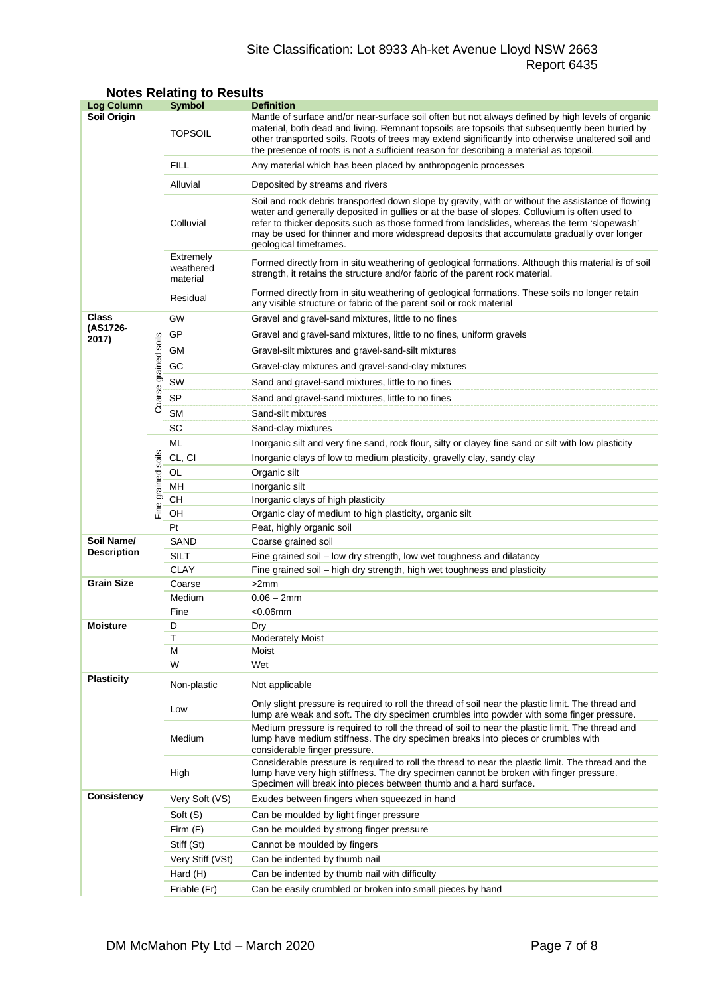# Site Classification: Lot 8933 Ah-ket Avenue Lloyd NSW 2663 Report 6435

| <b>Log Column</b>                |                      | <b>Symbol</b>                                            | <b>Definition</b>                                                                                                                                                                                                                                                                                                                                                                                                          |  |  |  |
|----------------------------------|----------------------|----------------------------------------------------------|----------------------------------------------------------------------------------------------------------------------------------------------------------------------------------------------------------------------------------------------------------------------------------------------------------------------------------------------------------------------------------------------------------------------------|--|--|--|
| Soil Origin                      |                      | <b>TOPSOIL</b>                                           | Mantle of surface and/or near-surface soil often but not always defined by high levels of organic<br>material, both dead and living. Remnant topsoils are topsoils that subsequently been buried by<br>other transported soils. Roots of trees may extend significantly into otherwise unaltered soil and<br>the presence of roots is not a sufficient reason for describing a material as topsoil.                        |  |  |  |
|                                  |                      | <b>FILL</b>                                              | Any material which has been placed by anthropogenic processes                                                                                                                                                                                                                                                                                                                                                              |  |  |  |
|                                  |                      | Alluvial                                                 | Deposited by streams and rivers                                                                                                                                                                                                                                                                                                                                                                                            |  |  |  |
|                                  |                      | Colluvial                                                | Soil and rock debris transported down slope by gravity, with or without the assistance of flowing<br>water and generally deposited in gullies or at the base of slopes. Colluvium is often used to<br>refer to thicker deposits such as those formed from landslides, whereas the term 'slopewash'<br>may be used for thinner and more widespread deposits that accumulate gradually over longer<br>geological timeframes. |  |  |  |
|                                  |                      | Extremely<br>weathered<br>material                       | Formed directly from in situ weathering of geological formations. Although this material is of soil<br>strength, it retains the structure and/or fabric of the parent rock material.                                                                                                                                                                                                                                       |  |  |  |
|                                  |                      | Residual                                                 | Formed directly from in situ weathering of geological formations. These soils no longer retain<br>any visible structure or fabric of the parent soil or rock material                                                                                                                                                                                                                                                      |  |  |  |
| Class                            |                      | GW                                                       | Gravel and gravel-sand mixtures, little to no fines                                                                                                                                                                                                                                                                                                                                                                        |  |  |  |
| (AS1726-<br>2017)                |                      | GP                                                       | Gravel and gravel-sand mixtures, little to no fines, uniform gravels                                                                                                                                                                                                                                                                                                                                                       |  |  |  |
|                                  |                      | GМ<br>Gravel-silt mixtures and gravel-sand-silt mixtures |                                                                                                                                                                                                                                                                                                                                                                                                                            |  |  |  |
|                                  |                      | GC                                                       | Gravel-clay mixtures and gravel-sand-clay mixtures                                                                                                                                                                                                                                                                                                                                                                         |  |  |  |
|                                  |                      | SW                                                       | Sand and gravel-sand mixtures, little to no fines                                                                                                                                                                                                                                                                                                                                                                          |  |  |  |
|                                  | Coarse grained soils | SP                                                       | Sand and gravel-sand mixtures, little to no fines                                                                                                                                                                                                                                                                                                                                                                          |  |  |  |
|                                  |                      | <b>SM</b>                                                | Sand-silt mixtures                                                                                                                                                                                                                                                                                                                                                                                                         |  |  |  |
|                                  |                      | SC                                                       | Sand-clay mixtures                                                                                                                                                                                                                                                                                                                                                                                                         |  |  |  |
|                                  |                      | ML                                                       | Inorganic silt and very fine sand, rock flour, silty or clayey fine sand or silt with low plasticity                                                                                                                                                                                                                                                                                                                       |  |  |  |
|                                  |                      | CL, CI                                                   | Inorganic clays of low to medium plasticity, gravelly clay, sandy clay                                                                                                                                                                                                                                                                                                                                                     |  |  |  |
|                                  |                      | OL                                                       | Organic silt                                                                                                                                                                                                                                                                                                                                                                                                               |  |  |  |
|                                  |                      | MН                                                       | Inorganic silt                                                                                                                                                                                                                                                                                                                                                                                                             |  |  |  |
|                                  | Fine grained soils   | CН                                                       | Inorganic clays of high plasticity                                                                                                                                                                                                                                                                                                                                                                                         |  |  |  |
|                                  |                      | OH                                                       | Organic clay of medium to high plasticity, organic silt                                                                                                                                                                                                                                                                                                                                                                    |  |  |  |
|                                  |                      | Pt                                                       | Peat, highly organic soil                                                                                                                                                                                                                                                                                                                                                                                                  |  |  |  |
| Soil Name/<br><b>Description</b> |                      | SAND                                                     | Coarse grained soil                                                                                                                                                                                                                                                                                                                                                                                                        |  |  |  |
|                                  |                      | <b>SILT</b>                                              | Fine grained soil - low dry strength, low wet toughness and dilatancy                                                                                                                                                                                                                                                                                                                                                      |  |  |  |
|                                  |                      | <b>CLAY</b>                                              | Fine grained soil - high dry strength, high wet toughness and plasticity                                                                                                                                                                                                                                                                                                                                                   |  |  |  |
| <b>Grain Size</b>                |                      | Coarse<br>Medium                                         | >2mm<br>$0.06 - 2mm$                                                                                                                                                                                                                                                                                                                                                                                                       |  |  |  |
|                                  |                      | Fine                                                     | <0.06mm                                                                                                                                                                                                                                                                                                                                                                                                                    |  |  |  |
| <b>Moisture</b>                  |                      | D                                                        | Dry                                                                                                                                                                                                                                                                                                                                                                                                                        |  |  |  |
|                                  |                      | Τ                                                        | <b>Moderately Moist</b>                                                                                                                                                                                                                                                                                                                                                                                                    |  |  |  |
|                                  |                      | М                                                        | Moist                                                                                                                                                                                                                                                                                                                                                                                                                      |  |  |  |
|                                  |                      | W                                                        | Wet                                                                                                                                                                                                                                                                                                                                                                                                                        |  |  |  |
| <b>Plasticity</b>                |                      | Non-plastic                                              | Not applicable                                                                                                                                                                                                                                                                                                                                                                                                             |  |  |  |
|                                  |                      | Low                                                      | Only slight pressure is required to roll the thread of soil near the plastic limit. The thread and<br>lump are weak and soft. The dry specimen crumbles into powder with some finger pressure.                                                                                                                                                                                                                             |  |  |  |
|                                  |                      | Medium                                                   | Medium pressure is required to roll the thread of soil to near the plastic limit. The thread and<br>lump have medium stiffness. The dry specimen breaks into pieces or crumbles with<br>considerable finger pressure.                                                                                                                                                                                                      |  |  |  |
|                                  |                      | High                                                     | Considerable pressure is required to roll the thread to near the plastic limit. The thread and the<br>lump have very high stiffness. The dry specimen cannot be broken with finger pressure.<br>Specimen will break into pieces between thumb and a hard surface.                                                                                                                                                          |  |  |  |
| <b>Consistency</b>               |                      | Very Soft (VS)                                           | Exudes between fingers when squeezed in hand                                                                                                                                                                                                                                                                                                                                                                               |  |  |  |
|                                  |                      | Soft (S)                                                 | Can be moulded by light finger pressure                                                                                                                                                                                                                                                                                                                                                                                    |  |  |  |
|                                  |                      | Firm $(F)$                                               | Can be moulded by strong finger pressure                                                                                                                                                                                                                                                                                                                                                                                   |  |  |  |
|                                  |                      | Stiff (St)                                               | Cannot be moulded by fingers                                                                                                                                                                                                                                                                                                                                                                                               |  |  |  |
|                                  |                      | Very Stiff (VSt)                                         | Can be indented by thumb nail                                                                                                                                                                                                                                                                                                                                                                                              |  |  |  |
|                                  |                      | Hard (H)                                                 | Can be indented by thumb nail with difficulty                                                                                                                                                                                                                                                                                                                                                                              |  |  |  |
|                                  |                      | Friable (Fr)                                             | Can be easily crumbled or broken into small pieces by hand                                                                                                                                                                                                                                                                                                                                                                 |  |  |  |

# **Notes Relating to Results**